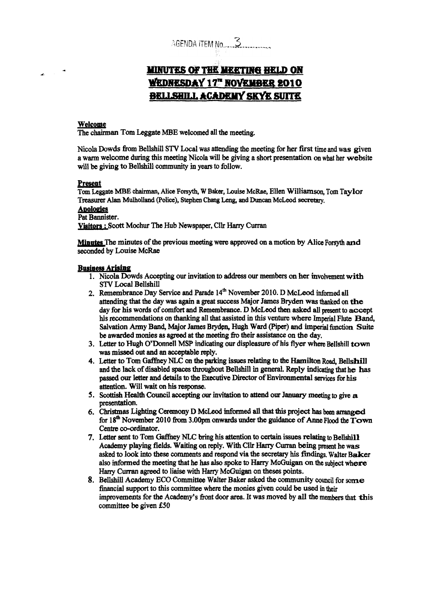# AGENDA ITEM NO. 3

# **MINUTES OF THE MEETING HELD ON WEDNESDAY 17" NOVEMBER 2010 BELLSHILL ACADEMY SKYK SUITE**

#### **Welcome**

The **chairman** Tom **Leggate MBE** welcomed all **the meeting.** 

Nicola Dowds **from** Bellshill *STV* **Local was attending** the **meeting** for **her first time and was given a** warm welcome during **this meeting Nioola will be giving a short** presentation **on what** her **website**  will be **giving** to Bellshill **community in years to follow.** 

#### **Present**

**Tom Leggate MBE** *chainnrm,* **Alice Forsyth, W Baker, Louise McRae, Ellen Williamson,** Tom **Taylor**  - Treasurer Alan Mulholland (Police), Stephen Chang Leng, and Duncan McLeod secretary,

## **Apologies**

**Pat Bannister.** 

**Viebra** : **Scott** Mochur The **Hub** Newspaper, **Cllr** *Harry* **Curran** 

**Minutes** The minutes of the previous meeting were approved on a motion by Alice Forsyth and seconded by **Louise McRae** 

#### **Business Arising**

- 1. Nicola Dowds Accepting our invitation to address our members on her involvement with **STV Local Bellshill**
- **2. Remembrance Day** Service and **Parade 14"** November **2010.** D **UCLeod** informed **all**  attending **that** the **day** was **again a** *gmt* **success Major James** Bryden **was thanked** on **the day** for his words of **cmfbrt and Remembrance. D** McLeod **then asked all** present to **accept his recommendations on thanking all** that **assisted in this** venture where **Imperial Flute Band, Salvation Army Band,** Major **James By@ Hugh Ward (Piper) and imperial hction Suite be awarded monies as agreed at the meeting fto** their **assistance** on **the day,**
- **3.** Letter to Hugh O'Donnell MSP indicating our displeasure of his flyer where Bellshill town **was missed out and an Bcceptable reply.**
- **4.**  Lttter *to* **Tom** *Gaffney* **NLC** *on* **the parking** issues **relating** to the Hamilton Rml, **Bellshill and the lack of disabled spaces throughout Bellshill in general. Reply indicating that he has** passed our letter and details to the Executive Director of Environmental services for his **attention. Will** wait **on his** *response.*
- *5.*  **Scottish Health** *council* accepting *cm* **invitation** to **attend** our **January meeting to** give **a**  presentation.
- *6.*  Christmas **Lighting Ceremony D McW informed** all **that this project has been arranged for l8\* November 2010 hm 3.0Opm onwards** under **the guidance of** Anue **Flood the Town**  Centre co-ordinator.
- **7.** Letter sent to Tom Gaffney NLC bring his attention to certain issues relating to Bellshill **Academy playing** fields. **Waiting on reply. With Cllr** *Hany* **Curran being present** he was **asked** to **look into these** comments **and** respond via **the secretay his** *findings.* **Watter Baker also** iRformed the **meeting that** he **has also spoke to** *Harry* **MCGuigan on the subject** where *Hany* **Cm agreed to liahe with** *Hany* **McGUigan on theses points.**
- **8. Bellshill Academy ECO** *Committee* **Walter Baker** asked *the* C0mmUnity council **for** *some*  **financial support** to **this committee** where the monies given **could** be **used** in their improvements for **the Academy's** fiont door **area. It was moved by** all the **members that** this committee **be given €50**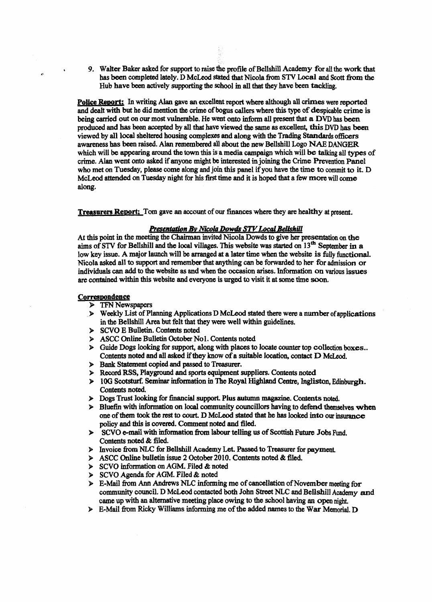*9.* **Walter Baker** *asked* **for support** to **raise** the profile of **Bellshill** Academy **for all** the work **that**  has been completed lately. D **McLeod** *slated* tbat Nicola *fiom* **STV Local and** *Scott* **from the**  Hub **have been** actively supporting **the** school **m all that they** have **been tackling.** 

**Police l€ewrtl** In writing Alan gave **an** excellent *report* **where although** all *uimes* were reported and dealt with **but** he did **mention the** crime of **bogus** callers **where** this **type** of despicable crime is **being ded out** *on* our most vulnerable. He **went onto** inform all present that **a DVD has** been produced and **bas** been **accepted** by **all** that have **Viewed** *the* same **as excellent,** *this* DVD has been **viewed by** all local sheltered housing complexes and along **with** the **Trading Standards officers**  awareness **has** been **raised. Alan** remembered **all about** the *new* **Bellshill Logo NAE DANGER**  which will be **appearing mmd** the town **this** is **a** media campaign which **will be talking** all **types** of crime. **Alan** went **onto asked** if anyone might be **interested** in **joining** the **Crime €'revention** Panel **who met** on Tuesday, please **come along** and **join this** panel if you have the **time** to commit to it. D McLeod **attended** on Tuesday night for **his** *first* time **and** it is hoped **that a fw more** will **come**  *along.* 

**Treasurers Report:** Tom gave an account of our finances where they are healthy at present.

#### **Presentation By Nicola Dowds STV Local Bellshill**

*At* this **point** in **the meeting** the **Chairman** invited **Nieula Dowds to** give her **presentation on the aims** of **STV fm** Bellshill and **the Id** *villages.* This **website was** *started on* 13m September in **a**  low **key** issue. **A** major launch will be arranged at **a** later time **when** the website **is fully** functional. Nicola **asked** all **to** *support* and **remember** that **anything** *can* be **fmarded to her for** admission *or*  individuals *c8n* **add** to the website **as and when** the **occasion arises.** Information **on** various issues **am** contained within **this** website and everyone is uged to visit it at some **time soon.** 

#### Correspondence

- **P** TFN Newspapers
- **9 Weekly List of Planning Applications D McLeod** *stated* there **were a number** of applications in **the** Bellshill *Area* **but** felt **that** they were well **within** guidelines.
- *9*  **SCVO** E **Bulletin. Contents noted**
- *9*  **ASCC** online **Bulktin Ootober Nol. Contents noted**
- **9**  Guide **Dogs** looking **for support,** along **with places** to locate counter top **collection boxes.. Contents noted** and **all** asked **ifthey know** of **a** suitable location, **contact** D **McLeod.**
- **9 Bank Statement copied and passed** to **Treasuer.**
- **B Record RSS,** Playground and **sports** equipment suppliers. Contents noted
- **9 1OG Swtsturf. Seminar informaton** in The **Royal Highland** Centre, **Ingliston, Edinburgh. Contents noted.**
- **P**  Dogs Trust **looking** for financial support. Plus **autumn** *magazine.* Contents **noted.**
- **k**  Bluefin with **information on** local **community** councillors **having** *to* defend themselves **when**  one **ofthem** tookthe **rest to** court. D McM *stated* **that** he **has looked into our** insurance **policy** and **this** is covered. *Comment* noted **and filed.**
- **9** SCVO **e-mail with information from labour telling us of Scottish Future Jobs Fund.** Contents noted & filed.
- > Invoice **from** NLC for BellshiU **Academy** Let. **Passed to Treasurer for payment**
- 9 **ASCC** Online **bulletin issue 2 October 2010. Contents noted** & filed,
- *9*  SCVO **information** *on* **AGM. Filed** & **noted**
- 9 **SCVO** Agenda **for AGM.** Filed & noted
- $\triangleright$  E-Mail from Ann Andrews NLC informing me of cancellation of November meeting for community council. **D McLeod** contacted both John **Street** NLC and Bellshill **Academy and**  came up with **an** alternative **meeting** place **owing** to the school having **an open** night.
- $\triangleright$  E-Mail from Ricky Williams informing me of the added names to the War Memorial. **D**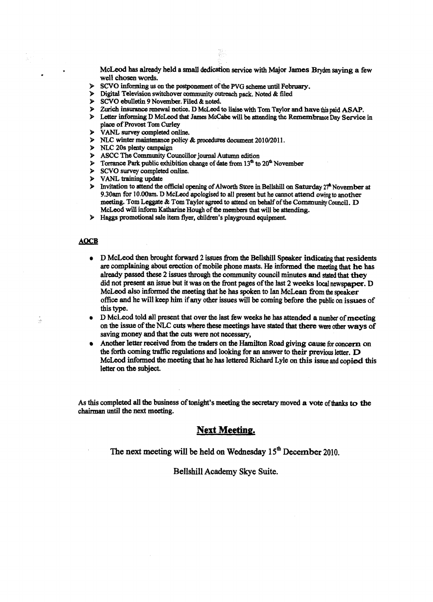**McLeod has already held a** small dedication *service* **with Major James Bqden saying a few well chosen words.** 

- **P SCVO** informing us on the postponement of the PVG scheme until February.<br> **P** Digital Television switchover community outreach nack. Noted & filed
- **9 Digital Television switchover annmunity outreach pack. Noted** & **filed**
- **P SCVO** ebulletin 9 November. Filed & noted.<br>**P** Zurich insurance renewal notice. D McLeod t
- 9 **Zurich insurance** *renewal* **notice. D McLeod to liaise** with Tom **Taylor and have** this **paid ASAP.**

깎

- > Letter *informing* **D McLeod that Jams Mocabe will** tie *iittening* **the Remembrance Day Service in place of Provost Tom Curley**
- > **VANL** *swey* **completed online.**
- > NLC winter maintenance policy & procedures document 2010/2011.
- **>** NLC 20s plenty campaign
- > **ASCC** The **Community Councillor journal Autumn edition**
- **9 Torrance Park public exhibition change of date from**  $13^{\text{th}}$  **to**  $20^{\text{th}}$  **November <br><b>9 SCVO survey completed online.**
- $SCVO$  survey completed online.
- > **VANL** training update
- $\triangleright$  **Invitation to attend the official opening of Alworth Store in Bellshill on Saturday**  $27^{\circ}$  **November at 9.30am for 1O.OOam. D McLeod apologised** *to* **all present** but **he cannot attend owing to another**   $m$ eeting. Tom Leggate & Tom Taylor agreed to attend on behalf of the Community Council. D McLeod will inform Katharine Hough of the members that will be attending.
- > **Haggs promotional sale** item **flyer, children's playground equipment.**

#### **AOCB**

**1** 

.

- **D McLeod then brought forward 2** issues **from the Beilshill Speaker indicating that residents**  *m* **complaining about erection of mobile phone masts. He** informed **the meeting that he has already passed these 2 issues through the** community **council minutes and** *stated* **that** they **did not present an issue but it was on the front pages of the last 2 weeks local newspaper. D McLeod also informed** the **meeting** that **he has spoken to** Ian **McLean from the speaker**  office **and he will keep** him **if any other issues will be coming before the public on issues of this** type.
- **D Mchod told ail present** that **over the last few weeks he** has **attended a** number **of meeting**   $\bullet$ **on the issue of the** Nu= **cuts where these meetings have** *stated* that **thm were other ways of saving money and that the cuts were not necessary,**
- *Another* **letter recaived fbm the** traders **on the** Hamilton **Road giving cause for** *concern* **on the forth coming traffic regulations and looking for an answer to their previous** letter. **D McLeod** *informed* **the meeting that he has lettered Richard Lyle** *on* **this issue and copied this letter on the subject.**

*As* **this** completed **ail the business oftonigkt's meeting the secretary moved a vote ofthanks to the chairman** until **the next meeting.** 

## **Next Meeting.**

**The next meeting** will **be held on Wednesday 15" December 2010.** 

#### **Bellshill Academy Skye Suite.**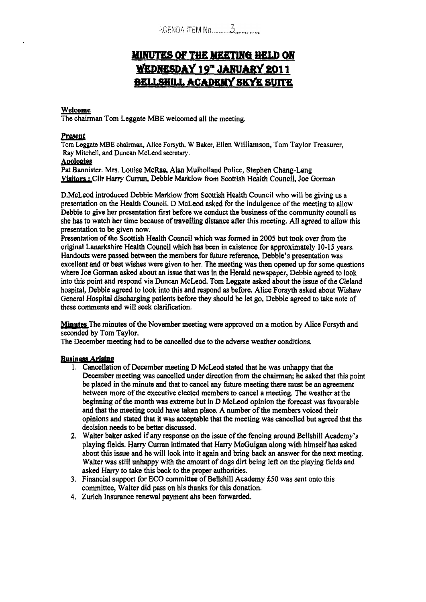# MINUTES OF THE MEETING HELD ON WEDNESDAY 19" JANUARY 2011 **BELLSHILL ACADEMY SKYE SUITE**

### Welcome

The chairman Tom Leggate MBE welcomed all the meeting,

#### **Presea** *t*

Tom **Leggate MBE chairman, Alice Forsyth, W Baker, Ellen** Williamson, **Tom** Taylor Treasurer, Ray **Mitchell, and** Duncan **MoLeod secretary. Welcome**<br>The chairman Tor<br>**Present**<br>Tom Leggate MBE<br>Ray Mitchell, and l

### **Awlogles**

**Pat** Bannister. Mrs. Louise **McRae, Alan** Mulholland Police, Stephen **Chang-Leng**  Visitors : **Cllr Harry Curran, Debbie Marklow fiom Scottish Health Council,** Joe Gorman

D.McLeod introduced Dcbbie Marklow **from Scottish** Health Council **who** will be giving us **a**  presentation on the **Health** Council. D McLeod asked for the indulgence of the meeting to allow Debbie to give her presentation first before **we** conduct the business of the community council **as**  she has to watch her time because of **travelfing distance** after **this** meeting. **AI1** agreed to allow this presentation to **be** given **now.** 

Presentation of the Scottish Health Council which **was** formed in *2005* but **took** over **from** the original Lanarkshire Health Council which has been in existence for approximately 10-15 years. Handouts were passed between the **members** for **future** reference, Debbie's presentation **was**  excellent and **or** best wishes **were** given to her. The meeting was then opened up for **some** questions where Joe **Gonnan asked about** an issue that was in **the** Herald newspaper, Debbie agreed to **look**  into this point and respond via Duncan McLeod. **Tom** Leggate asked about the issue of *the* Cleland hospital, Debbie agreed to look into this and respond **as** before. Alice **Forsyth** asked about Wishaw General Hospital discharging patients before they should be let *go,* Debbie agreed to take note of these comments and wilt **seek** clarification.

**Minutes** The minutes of the November meeting were approved on a motion by Alice Forsyth and seconded by Tom Taylor.

The December meeting had to be cancelled due to the adverse **weather** conditions.

### **Buriness Arising**

- **1.** Cancellation of December meeting D McLeod **stated** that he was unhappy that the December meeting **was** cancelled under direction **fiom** the chairman; he asked that this point be placed in the minute and that to cancel any **future** meeting there must be **an** agreement between more of the executive elected members to **cancel** a meeting. The weather at the beginning of the month **was** extreme but in *D* McLeod opinion the forecast was favourable and that the meeting could have taken place. A number of the members voiced their opinions and **stated** that it was acceptable that the meeting was cancelled but **agreed** that the decision needs to be better discussed,
- **2.** Walter baker **asked** if **any** response on the issue of the fencing around Bellshill Academy's playing fields. **Hany Curran** intimated that **Hany** McGuigan along **with** himself **has** asked about this issue and he will **look** into it again and bring back an answer for the next meeting. Walter was still unhappy with the amount of dogs dirt being left on the playing fields and asked Harry to take this back to the proper authorities.
- 3. Financial support for **EGO** committee of Bellshill Academy **€50** was sent onto this committee, Walter did pass on his thanks for this donation.
- **4.** Zurich Insurance renewal payment **ahs** been **forwarded.**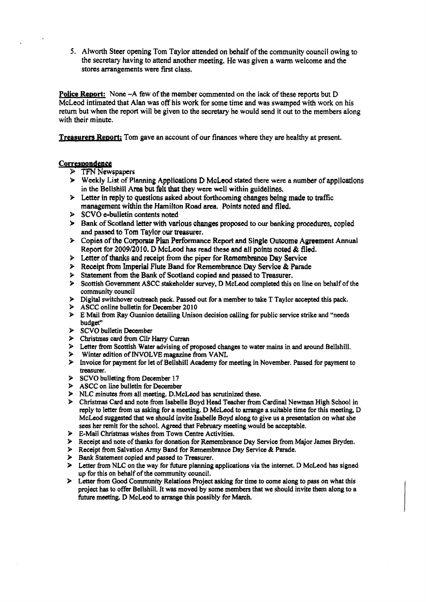*5.* Alworth Steer opening **Tom** Taylor attended **on** behalf of the community council owing to the secretary having to attend another meeting. He was given a warm welcome and the stores arrangements were first class.

Police **Remrt:** None **-A** few of *the* member commented **on the lack of** these reports but D McLeod intimated that Alan was **off** his **work** for some time **and was** swamped with work on his **return** but when the report will be given to the **secretary** he would send it out to the members along with their minute.

**Treasurers Report;** Tom gave an account of our finances where they are healthy at present.

### **Correspondence**

- $\triangleright$  TFN Newspapers
- **Weekly** List of **Planning** Applications D **McLsod** stated there weft a number of applications in the Bellshill Area but felt that they were well within guidelines.
- Letter in reply to questions **asked** about forthcoming changes **being made** *to* traffic management within **the** Hamilton **Road** area. Points noted and filed,
- **SCVO** e-bulletin **contents noted**
- **Bank of Scotland** letter **with various changes** proposed to **OUT** banking procedures, copied and **passed to Tom** Taylor our treasurer.
- **EXECOPY ASSETS:** Copies of the Corporate Plan Performance Report and Single Outcome Agreement Annual Report for **2009/2010. D McLeod has** mad **these and all points noted** & filed,
- **Letter** of thanks **and** receipt **from thc piper** for Remembrance **Day** Service
- Receipt **from Imperial** Flute **Band** for **Remembrance Day** Service & Parade
- Statement **from** the **Bank** of **Scotland** copied **and** passed to Treasurer.
- Scottish Government ASCC **stakeholder** survey, D McLeod completed **this** on line **an** behalf of the community council
- Digital switchover outreach **pack. Passed** out for a member **to** take T Taylor **accepted** this **pack.**
- ASCC online bulletin for **Dccember 2010**
- E Mail fiom **Ray** Gunnion detailing Unison decision calling for public service strike and **"needs**  budget"
- **SCVO** bulletin December
- **Christmas** card **from** Cllr *Heny* Curran
- **Letter** from **Scottish** Water advising of proposed changes to water **mains** in **and** around Bellshill.
- **Winter** edition of **MVOLVE** magazine **from VANL**
- Invoice for payment for let of BellshiiI Academy for meeting in November. **Passed** far payment **to**  treasurer.
- **SCVO** bulleting **from December 17**
- ASCC **on** line bulletin for December
- NLC minutes from **all** meeting. **D.McLeod** has scrutinized **these.**
- Christmas Card and note from Isabelle Boyd Head **Teacher** from Cardinal Newman High School in reply to letter from us asking for a meeting. D McLeod to arrange a suitable time for this meeting, D McLeod *suggested* **that** we **should** invite Isabelle **Boyd** along **to** give **us** a presentation on what she sees her remit for the school. Agreed that February meeting would be acceptable.
- $\blacktriangleright$ &Mail **Christmas** wishes fiom **Town** Centre Activities.
- Receipt and note of **thanks** for donation for Remembrance Day Service from **M4or James** Bryden.
- $\blacktriangleright$ Receipt **from** Salvation **Army** Band for Remembrance **Day Service** & Parade.
- **Bank** Statement copied and **passed to** Treasurer.
- $\blacktriangleright$ Letter from NLC on the way for future planning applications via the internet. D McLeod has signed up for this on behalf of the community council.
- Letter **from** Good Community Relations Project asking for time **to** come **along** to **pass** on what this project has to offer Bellshill. It **was moved** by some **members** that we should invite them along to a future meeting. D McLeod to arrange **this** possibly for March.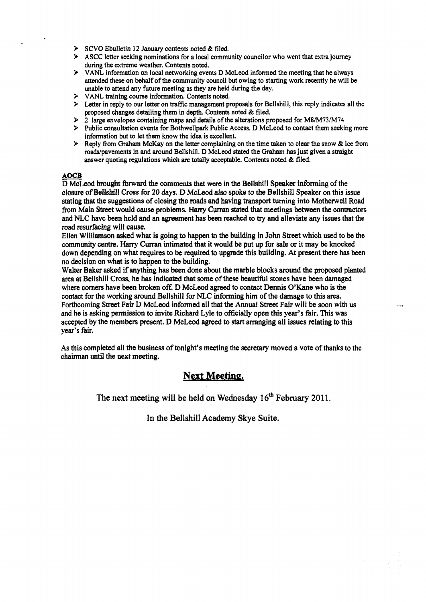- **SCVO** Ebulletin **12** January contents noted & **filed.**
- $\triangleright$  ASCC letter seeking nominations for a local community councilor who went that extra journey during the extreme weather. Contents noted.
- **VANL** information on local networking events D McLeod informed the meeting that he always attended these on behalf of the community council but owing to starting work recently he will be unable **to** attend **any** future meeting **as** they are held during the day.
- > VANL training course information. Contents noted.
- Letter in reply to **our** letter on traffic management proposals for Bellshill, this reply indicates all the proposed changes detailing them in depth. Contents noted & **filed.**
- **2** large envelopes containing maps and details of the alterations proposed for **M8/M73/M74**
- Public consultation events for Bothwellpark Public **Access.** D McLeod to **contact them** seeking more information but to let them know the **idea** is excellent.
- Reply **from Graham** McKay on the letter complaining on the time taken to clear the **snow** & ice from roadspavements in and around Bellshill. D McLeod stated the **Grsham** has just given a straight answer quoting regulations which are totally acceptable. Contents noted & filed. AOCB<br>
ACCB<br> **D McLeod brought SPublic Consultation events for Bothwellpark Public Access. D McLeod to contact them seekin<br>
information but to let them know the idea is excellent.<br>
<b>A** Reply from Graham McKay on the lette

closure of Bellshill **Cross** *for 20* **days.** D **McLeod** also **spoke** *to* the Bellshill **Spcakcr in** this issue stating that the suggestions of closing the **roads end** having **transport turning** into Motherwell **Road**  fiom Main Street would **cause** problems. **Hany Cunan** stated that meetings between the **contractors**  and **NLC** have been held **and** an agreement has **been** reached to **try** and alleviate **any issues** that **the**  road resurfacing will cause.

Elbn Williamson **asked** what is going to happen **to** the building in **John** Street which **used** to be the community centre, **Hany Curran** intimated that it would be put up for sale or it may be **knocked**  down depending on what requires to be required to upgrade this building. At present there **has** been no decision on what **is** to happen to the building.

Walter Baker **asked** if anything has been done about the marble blocks around the proposed planted area at Bellshil! **Cross,** he **has** indicated that some of these beautiful stones have been damaged where corners have been broken **off.** D McLeod **agreed** to contact Dennis O'Kane who is **the**  contact for the working around Bellshill for **NLC** informing him of the damage to this area. Forthcoming **Street** Fair **L)** McLeod informed all that **the** Annual **Street** Fair will be soon with **us**  and he is asking permission to invite Richard Lyle to officially open this **year's** fair. This was accepted by *the* members present. D McLeod agreed to start amging all issues relating to **this**  year's fair.

**As this** completed all the business of tonight's meeting the secretary moved **a** vote of **thanks** to the chairman until **the** next meeting.

## **Next Meetinp,**

The next meeting will be held on Wednesday 1 **6'h** February **20** 11.

In **the** Bellshill Academy Skye Suite.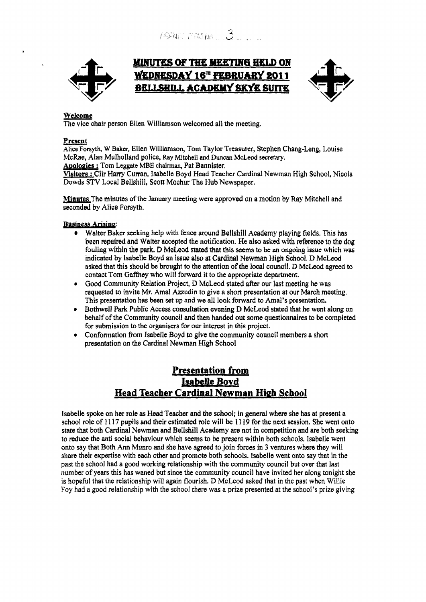

# MINUTES OF THE MEETING HELD ON **WEDNESDAY 16" FEBRUARY BELLSHILL ACADEMY SKYE SUITE**



### Welcome

The vice chair person Ellen Williamson welcomed all the meeting.

### **Present**

**Alice** Forsyth, **W Baker,** Ellen **Williamson, Tom** Tay **lor Treasurer,** Stephen Chang-Leng, Louise McRae, Alan Mulholiand police, Ray **Mitchell and** Duncan **McLeod** *secretary.* 

**Anoloeies** : Tom **Leggate** MBE chairman, Pat Bannister.

**Visitors** : Cllr **Hany** Curran, Isabelle Boyd Head Teacher Cardinal Newman High School, Nicola Dowds **STV** Local Bellshill, Scott Moohur The Hub Newspaper.

**mutes** The minutes of the **January** meeting were approved on *a* motion by Ray Mitchell and seconded by **Alice** Forsyth.

### **Business Arising:**

- Waiter **Baker seeking** help with fence around Bellshill **Academy** playing fields. This has been repaired **and** Walter accepted the notification. **He** also asked with **reference** to **the dog**  fouling **within the park.** D **MoLeod** stated that this **seems** to **be an ongoing issue** which **was**  indicated **by Isabelk Boyd an** issue also **at** Cardinal **Newman** High School. D McLeod asked that **this** should be **brought** to the attention of the local council. D McLeod **agreed** to contact Tom Gaffney who will forward it to the appropriate department.
- Good Community Relation Project, **D** McLeod stated after our last meeting he **was**  requested to invite Mr. Amal Azzudin to give a short presentation at our March meeting. This presentation has been set up and we all look forward to Amal's presentation.
- Bothwell Park Public Access consultation evening **D** McLeod stated that he went along **on**  behalf of the Community council and then handed out some questionnaires to be completed for submission to the **organisers** for our interest in **this** project.
- Conformation from Isabelle Boyd to give the community council members a short presentation on the Cardinal Newman High School

# **Presentation from IssbeUe Bovd Head Teacher Cardinal Newman High School**

Isabelle spoke on her role **as** Head Teacher and **the** school; in general where she has at present a school role of 11 **17** pupils and their estimated role will **be I Z 19** for the next **session.** She went onto state that both Cardinal Newman and Bellshill Academy are not in competition and are both seeking to **reduce** the anti social behaviour which **seems** to be present within both schoois. Isabelle went onto say that Both Ann Munro and she have agreed to join forces in 3 ventures where they will share their expertise with each other and promote both schools. Isabelle went onto say that in the past the school had a good working relationship with the community council but over that last number of years this has waned but since the community council have invited her along tonight she is hopeful that the relationship will again flourish. D McLeod asked that in the past when Willie Foy had a good relationship with the school there was a prize presented at the school's prize giving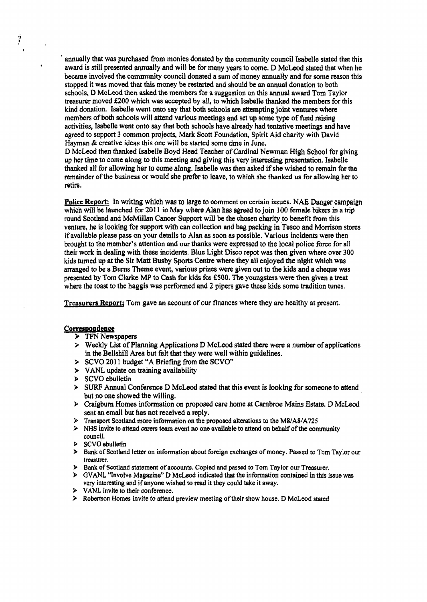. annually that **was** purchased from monies donated by the community council Isabelle stated that this award is still presented annually and will be for many years to come. D McLeod stated that when he became involved the community council donated a sum of money annually and for some reason this stopped it was moved that this money be **restarted** and should be an annual donation to both schools, **I) McLeod then asked the members** for **a** suggestion on **this** annual award **Tom** Taylor treasurer moved £200 which was accepted by all, to which Isabelle thanked the members for this kind donation. Isabelle went onto say that **both** schools are attempting joint ventures where members of both schools will attend various **meetings** and *set* up some **rype** of fund raising activities, Isabelle went onto say that both schools have already had tentative meetings and have agreed to support 3 common projects, Mark Scott Foundation, Spirit Aid charity with David Hayman & creative ideas this one will be started some time in June.

D McLeod then thanked Isabelle Boyd Head Teacher of Cardinal Newman High School for giving up her time to come along to **this** meeting and giving this very interesting presentation. Isabelle thanked all for allowing her to come along. Isabelle **was** then asked if she wished to **remain** for the remainder of **the business or would she** prefer **to** leave, to **which she thanked us for** allowing her *to*  retire.

**Police Report:** In writing which was to large to comment on certain issues. NAE Danger campaign which will **be** launched **for 201 1** in **May** where Alan has **agreed** to join **100 female bikers** in a trip round Scotland and McMillan Cancer Support will be the chosen **charity to** benefit from **this**  venture, he is looking for support with can **collection** and bag packing in Tesco and Monison stores if available please **pass on** your details to Alan **as** soon **as** possible. Various incidents were then brought to the member's attention and **our** thanks were expressed to the local police force for all their work **in** dealing with these incidents. Blue Light Disco repot was then given where over 300 kids turned up at **the** Sir Matt Busby **Sports** Centre where **they** all enjoyed *the* night which was arranged to be **a Bums** Theme event, various prizes **were** &en out **to the kids** and a cheque **was**  presented by Tom Clarke MP to Cash for **kids** for **E500.** The youngsters **were then** given **a** treat where the toast to the haggis was performed **and 2** pipers gave these kids some tradition tunes.

**Treasurers Report;** Tom gave an account of our finances where they are healthy at present.

#### **Correswnden ce**

**I** 

ÿ

*I* 

- **TFN** Newspapers
- $\triangleright$  Weekly List of Planning Applications D McLeod stated there were a number of applications in the Bellshill Area but felt that they were well within guidelines.
- **SCVO 201** 1 budget **"A** Briefing **fiom** the SCVO"
- > VANL update on training availability
- $>$  SCVO ebulletin
- **SURF Annual Conference D McLeod stated that this event is looking for someone to attend** but no one showed the willing.
- Craigburn Homes information on **proposed** are home at Cambroe Mains Estate. D McLeod sent an email but has not received a reply.
- **Transport Scotland more information** on **the proposed afterations** to **the M8/A8/A725**
- **NHS invite** *to* **attend** *caren* team **event no** one available to attend *on* **behaif** of **the community**  council.
- **SCVO** ebulletin
- **Bank** of Scotland letter on **information about foreign exchanges of** money. Passed to **Tom** Taylor **our treasurer.**
- **Bank of Scotland statement of accounts. Copied and passed to Tom Taylor our** Treasurer.
- $\triangleright$  GVANL "Involve Magazine" **D** McLeod indicated that the information contained in this issue was **very** interesting and **if anyone wished to read it they could take it away.**
- **VANL invite** *to* **their conference.**
- **Robertson Homes** invite **to attend preview meeting of their show house. D McLeod stated**